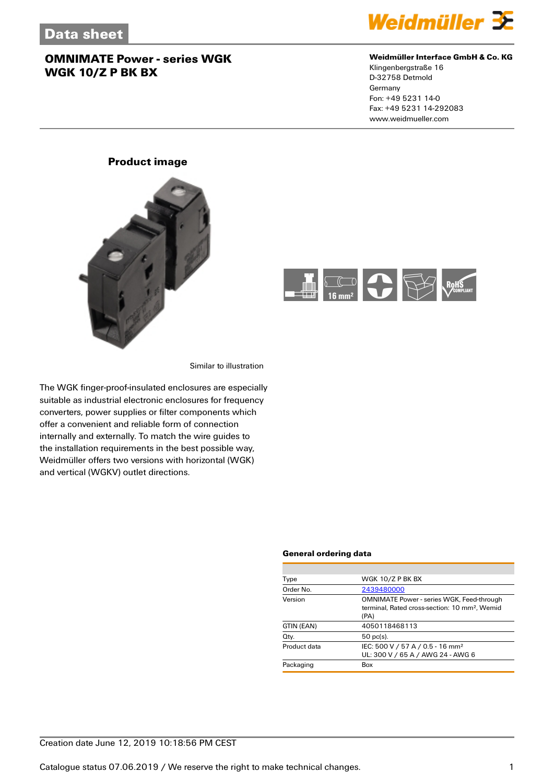

#### **Weidmüller Interface GmbH & Co. KG**

Klingenbergstraße 16 D-32758 Detmold Germany Fon: +49 5231 14-0 Fax: +49 5231 14-292083 www.weidmueller.com

### **Product image**





Similar to illustration

The WGK finger-proof-insulated enclosures are especially suitable as industrial electronic enclosures for frequency converters, power supplies or filter components which offer a convenient and reliable form of connection internally and externally. To match the wire guides to the installation requirements in the best possible way, Weidmüller offers two versions with horizontal (WGK) and vertical (WGKV) outlet directions.

#### **General ordering data**

| Type         | WGK 10/Z P BK BX                                                                                                      |
|--------------|-----------------------------------------------------------------------------------------------------------------------|
| Order No.    | 2439480000                                                                                                            |
| Version      | <b>OMNIMATE Power - series WGK, Feed-through</b><br>terminal. Rated cross-section: 10 mm <sup>2</sup> . Wemid<br>(PA) |
| GTIN (EAN)   | 4050118468113                                                                                                         |
| Qty.         | $50$ pc(s).                                                                                                           |
| Product data | IEC: 500 V / 57 A / 0.5 - 16 mm <sup>2</sup><br>UL: 300 V / 65 A / AWG 24 - AWG 6                                     |
| Packaging    | Box                                                                                                                   |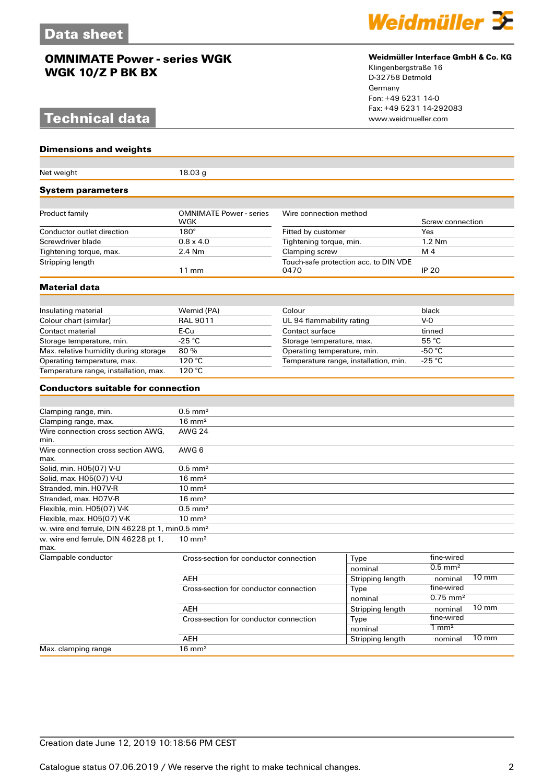# **Technical data**

#### **Dimensions and weights**

| Net weight                                                  | 18.03 <sub>g</sub>                     |                                               |                  |                        |                 |
|-------------------------------------------------------------|----------------------------------------|-----------------------------------------------|------------------|------------------------|-----------------|
| <b>System parameters</b>                                    |                                        |                                               |                  |                        |                 |
|                                                             |                                        |                                               |                  |                        |                 |
| Product family                                              | <b>OMNIMATE Power - series</b><br>WGK  | Wire connection method                        |                  | Screw connection       |                 |
| Conductor outlet direction                                  | $180^\circ$                            | Fitted by customer                            |                  | Yes                    |                 |
| Screwdriver blade                                           | $0.8 \times 4.0$                       | Tightening torque, min.                       |                  | 1.2 Nm                 |                 |
| Tightening torque, max.                                     | 2.4 Nm                                 | Clamping screw                                |                  | M <sub>4</sub>         |                 |
| Stripping length                                            | $11 \text{ mm}$                        | Touch-safe protection acc. to DIN VDE<br>0470 |                  | <b>IP 20</b>           |                 |
| Material data                                               |                                        |                                               |                  |                        |                 |
|                                                             |                                        |                                               |                  |                        |                 |
| Insulating material                                         | Wemid (PA)                             | Colour                                        |                  | black                  |                 |
| Colour chart (similar)                                      | <b>RAL 9011</b>                        | UL 94 flammability rating                     |                  | $V-0$                  |                 |
| Contact material                                            | E-Cu                                   | Contact surface                               |                  | tinned                 |                 |
| Storage temperature, min.                                   | $-25$ °C                               | Storage temperature, max.                     |                  | 55 °C                  |                 |
| Max. relative humidity during storage                       | 80%                                    | Operating temperature, min.                   |                  | -50 $\degree$ C        |                 |
| Operating temperature, max.                                 | 120 °C                                 | Temperature range, installation, min.         |                  | $-25 °C$               |                 |
| Temperature range, installation, max.                       | 120 °C                                 |                                               |                  |                        |                 |
| <b>Conductors suitable for connection</b>                   |                                        |                                               |                  |                        |                 |
|                                                             |                                        |                                               |                  |                        |                 |
| Clamping range, min.                                        | $0.5$ mm <sup>2</sup>                  |                                               |                  |                        |                 |
| Clamping range, max.                                        | $16 \text{ mm}^2$                      |                                               |                  |                        |                 |
| Wire connection cross section AWG,<br>min.                  | <b>AWG 24</b>                          |                                               |                  |                        |                 |
| Wire connection cross section AWG.<br>max.                  | AWG 6                                  |                                               |                  |                        |                 |
| Solid, min. H05(07) V-U                                     | $0.5$ mm <sup>2</sup>                  |                                               |                  |                        |                 |
| Solid, max. H05(07) V-U                                     | $16 \text{ mm}^2$                      |                                               |                  |                        |                 |
| Stranded, min. H07V-R                                       | $10 \text{ mm}^2$                      |                                               |                  |                        |                 |
| Stranded, max. H07V-R                                       | $16 \text{ mm}^2$                      |                                               |                  |                        |                 |
| Flexible, min. H05(07) V-K                                  | $0.5$ mm <sup>2</sup>                  |                                               |                  |                        |                 |
| Flexible, max. H05(07) V-K                                  | $10 \text{ mm}^2$                      |                                               |                  |                        |                 |
| w. wire end ferrule, DIN 46228 pt 1, min0.5 mm <sup>2</sup> |                                        |                                               |                  |                        |                 |
| w. wire end ferrule, DIN 46228 pt 1,<br>max.                | $10 \text{ mm}^2$                      |                                               |                  |                        |                 |
| Clampable conductor                                         | Cross-section for conductor connection |                                               | Type             | fine-wired             |                 |
|                                                             |                                        |                                               | nominal          | $0.5$ mm <sup>2</sup>  |                 |
|                                                             | AEH                                    |                                               | Stripping length | nominal                | $10 \text{ mm}$ |
|                                                             | Cross-section for conductor connection |                                               | Type             | fine-wired             |                 |
|                                                             |                                        |                                               | nominal          | $0.75$ mm <sup>2</sup> |                 |
|                                                             | AEH                                    |                                               |                  | nominal                | $10 \text{ mm}$ |
|                                                             | Cross-section for conductor connection |                                               | Type             | fine-wired             |                 |
|                                                             |                                        |                                               | nominal          | $1 \text{ mm}^2$       |                 |
|                                                             | <b>AEH</b>                             |                                               | Stripping length | nominal                | $10 \text{ mm}$ |
| Max. clamping range                                         | $16 \text{ mm}^2$                      |                                               |                  |                        |                 |



#### **Weidmüller Interface GmbH & Co. KG**

Klingenbergstraße 16 D-32758 Detmold Germany Fon: +49 5231 14-0 Fax: +49 5231 14-292083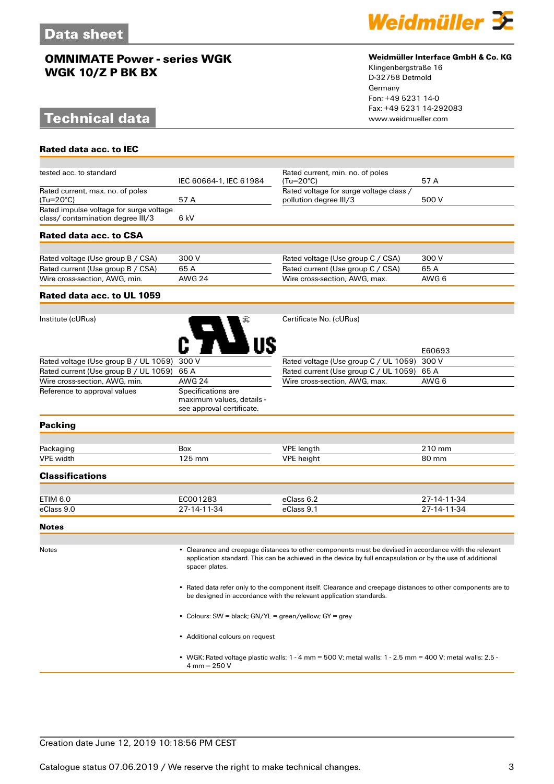# **Technical data**

**Rated data acc. to IEC**



#### **Weidmüller Interface GmbH & Co. KG**

Klingenbergstraße 16 D-32758 Detmold Germany Fon: +49 5231 14-0 Fax: +49 5231 14-292083

| tested acc. to standard                                                      | IEC 60664-1, IEC 61984                                                       | Rated current, min. no. of poles<br>$(Tu=20^{\circ}C)$                                                                                                                                                               | 57 A        |
|------------------------------------------------------------------------------|------------------------------------------------------------------------------|----------------------------------------------------------------------------------------------------------------------------------------------------------------------------------------------------------------------|-------------|
| Rated current, max. no. of poles<br>(Tu=20°C)                                | 57A                                                                          | Rated voltage for surge voltage class /<br>pollution degree III/3                                                                                                                                                    | 500 V       |
| Rated impulse voltage for surge voltage<br>class/ contamination degree III/3 | 6 kV                                                                         |                                                                                                                                                                                                                      |             |
| Rated data acc. to CSA                                                       |                                                                              |                                                                                                                                                                                                                      |             |
|                                                                              |                                                                              |                                                                                                                                                                                                                      |             |
| Rated voltage (Use group B / CSA)                                            | 300 V                                                                        | Rated voltage (Use group C / CSA)                                                                                                                                                                                    | 300 V       |
| Rated current (Use group B / CSA)                                            | 65A                                                                          | Rated current (Use group C / CSA)                                                                                                                                                                                    | 65 A        |
| Wire cross-section, AWG, min.                                                | <b>AWG 24</b>                                                                | Wire cross-section, AWG, max.                                                                                                                                                                                        | AWG 6       |
| Rated data acc. to UL 1059                                                   |                                                                              |                                                                                                                                                                                                                      |             |
|                                                                              |                                                                              |                                                                                                                                                                                                                      |             |
| Institute (cURus)                                                            |                                                                              | Certificate No. (cURus)                                                                                                                                                                                              |             |
|                                                                              |                                                                              |                                                                                                                                                                                                                      | E60693      |
| Rated voltage (Use group B / UL 1059)                                        | 300 V                                                                        | Rated voltage (Use group C / UL 1059)                                                                                                                                                                                | 300 V       |
| Rated current (Use group B / UL 1059)                                        | 65 A                                                                         | Rated current (Use group C / UL 1059)                                                                                                                                                                                | 65 A        |
| Wire cross-section, AWG, min.                                                | <b>AWG 24</b>                                                                | Wire cross-section, AWG, max.                                                                                                                                                                                        | AWG 6       |
| Reference to approval values                                                 | Specifications are<br>maximum values, details -<br>see approval certificate. |                                                                                                                                                                                                                      |             |
| <b>Packing</b>                                                               |                                                                              |                                                                                                                                                                                                                      |             |
| Packaging                                                                    | <b>Box</b>                                                                   | <b>VPE</b> length                                                                                                                                                                                                    | 210 mm      |
| <b>VPE</b> width                                                             | 125 mm                                                                       | <b>VPE</b> height                                                                                                                                                                                                    | 80 mm       |
| <b>Classifications</b>                                                       |                                                                              |                                                                                                                                                                                                                      |             |
|                                                                              |                                                                              |                                                                                                                                                                                                                      |             |
| <b>ETIM 6.0</b>                                                              | EC001283                                                                     | eClass 6.2                                                                                                                                                                                                           | 27-14-11-34 |
| eClass 9.0                                                                   | 27-14-11-34                                                                  | eClass 9.1                                                                                                                                                                                                           | 27-14-11-34 |
| <b>Notes</b>                                                                 |                                                                              |                                                                                                                                                                                                                      |             |
|                                                                              |                                                                              |                                                                                                                                                                                                                      |             |
| <b>Notes</b>                                                                 | spacer plates.                                                               | • Clearance and creepage distances to other components must be devised in accordance with the relevant<br>application standard. This can be achieved in the device by full encapsulation or by the use of additional |             |

• Rated data refer only to the component itself. Clearance and creepage distances to other components are to be designed in accordance with the relevant application standards.

• Colours: SW = black; GN/YL = green/yellow; GY = grey

• Additional colours on request

• WGK: Rated voltage plastic walls: 1 - 4 mm = 500 V; metal walls: 1 - 2.5 mm = 400 V; metal walls: 2.5 - 4 mm = 250 V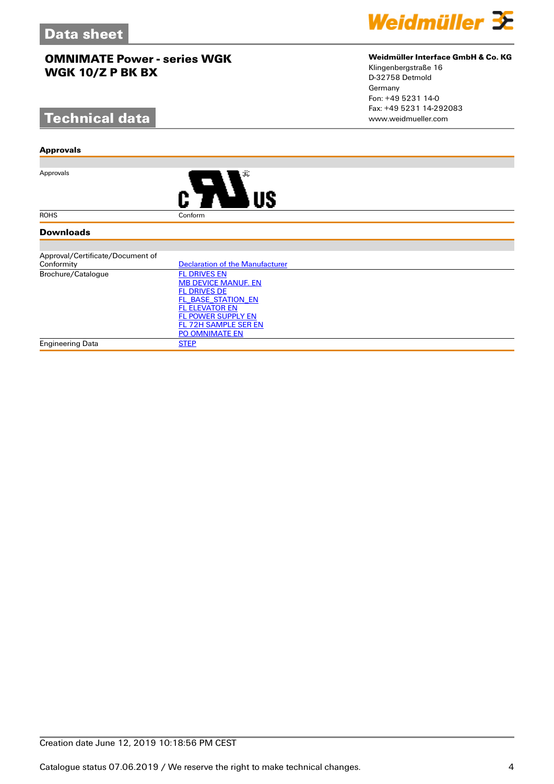# **Technical data**

#### **Approvals**

Approvals



#### **Downloads**

| Approval/Certificate/Document of |                                 |
|----------------------------------|---------------------------------|
| Conformity                       | Declaration of the Manufacturer |
| Brochure/Catalogue               | <b>FL DRIVES EN</b>             |
|                                  | <b>MB DEVICE MANUF. EN</b>      |
|                                  | <b>FL DRIVES DE</b>             |
|                                  | FL BASE STATION EN              |
|                                  | <b>FL ELEVATOR EN</b>           |
|                                  | <b>FL POWER SUPPLY EN</b>       |
|                                  | FL 72H SAMPLE SER EN            |
|                                  | <b>PO OMNIMATE EN</b>           |
| Engineering Data                 | <b>STEP</b>                     |



#### **Weidmüller Interface GmbH & Co. KG**

Klingenbergstraße 16 D-32758 Detmold Germany Fon: +49 5231 14-0 Fax: +49 5231 14-292083